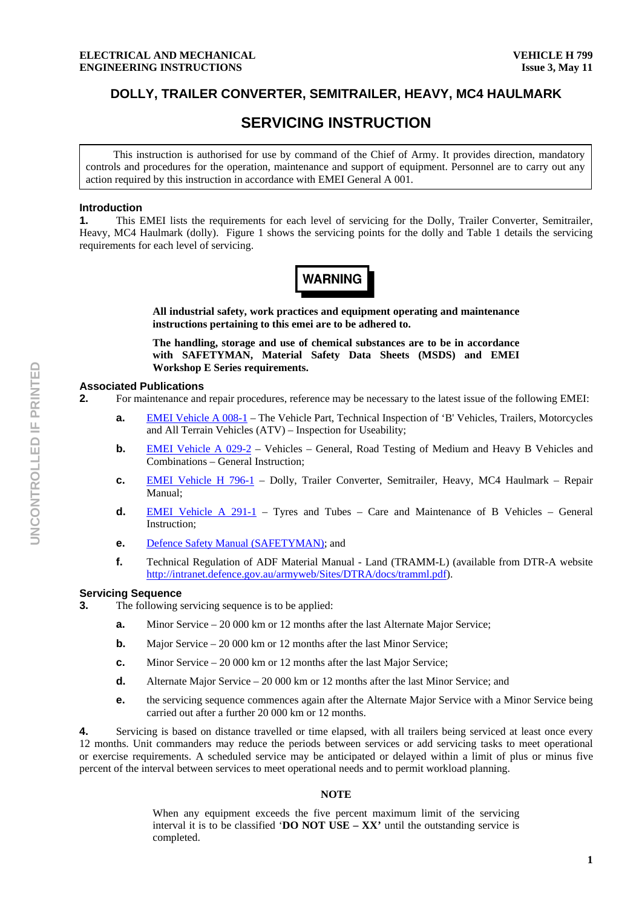# **DOLLY, TRAILER CONVERTER, SEMITRAILER, HEAVY, MC4 HAULMARK**

# **SERVICING INSTRUCTION**

This instruction is authorised for use by command of the Chief of Army. It provides direction, mandatory controls and procedures for the operation, maintenance and support of equipment. Personnel are to carry out any action required by this instruction in accordance with EMEI General A 001.

#### **Introduction**

**1.** This EMEI lists the requirements for each level of servicing for the Dolly, Trailer Converter, Semitrailer, Heavy, MC4 Haulmark (dolly). Figure 1 shows the servicing points for the dolly and Table 1 details the servicing requirements for each level of servicing.



**All industrial safety, work practices and equipment operating and maintenance instructions pertaining to this emei are to be adhered to.** 

**The handling, storage and use of chemical substances are to be in accordance with SAFETYMAN, Material Safety Data Sheets (MSDS) and EMEI Workshop E Series requirements.** 

#### **Associated Publications**

- **2.** For maintenance and repair procedures, reference may be necessary to the latest issue of the following EMEI:
	- **a.** EMEI Vehicle A 008-1 The Vehicle Part, Technical Inspection of 'B' Vehicles, Trailers, Motorcycles and All Terrain Vehicles (ATV) – Inspection for Useability;
	- **b. EMEI Vehicle A 029-2** Vehicles General, Road Testing of Medium and Heavy B Vehicles and Combinations – General Instruction;
	- **c.** EMEI Vehicle H 796-1 Dolly, Trailer Converter, Semitrailer, Heavy, MC4 Haulmark Repair Manual;
	- **d.** EMEI Vehicle A 291-1 Tyres and Tubes Care and Maintenance of B Vehicles General Instruction;
	- **e.** Defence Safety Manual (SAFETYMAN); and
	- **f.** Technical Regulation of ADF Material Manual Land (TRAMM-L) (available from DTR-A website http://intranet.defence.gov.au/armyweb/Sites/DTRA/docs/tramml.pdf).

#### **Servicing Sequence**

- **3.** The following servicing sequence is to be applied:
	- **a.** Minor Service 20 000 km or 12 months after the last Alternate Major Service;
	- **b.** Major Service 20 000 km or 12 months after the last Minor Service;
	- **c.** Minor Service 20 000 km or 12 months after the last Major Service;
	- **d.** Alternate Major Service 20 000 km or 12 months after the last Minor Service; and
	- **e. the servicing sequence commences again after the Alternate Major Service with a Minor Service being** carried out after a further 20 000 km or 12 months.

**4.** Servicing is based on distance travelled or time elapsed, with all trailers being serviced at least once every 12 months. Unit commanders may reduce the periods between services or add servicing tasks to meet operational or exercise requirements. A scheduled service may be anticipated or delayed within a limit of plus or minus five percent of the interval between services to meet operational needs and to permit workload planning.

#### **NOTE**

When any equipment exceeds the five percent maximum limit of the servicing interval it is to be classified '**DO NOT USE – XX'** until the outstanding service is completed.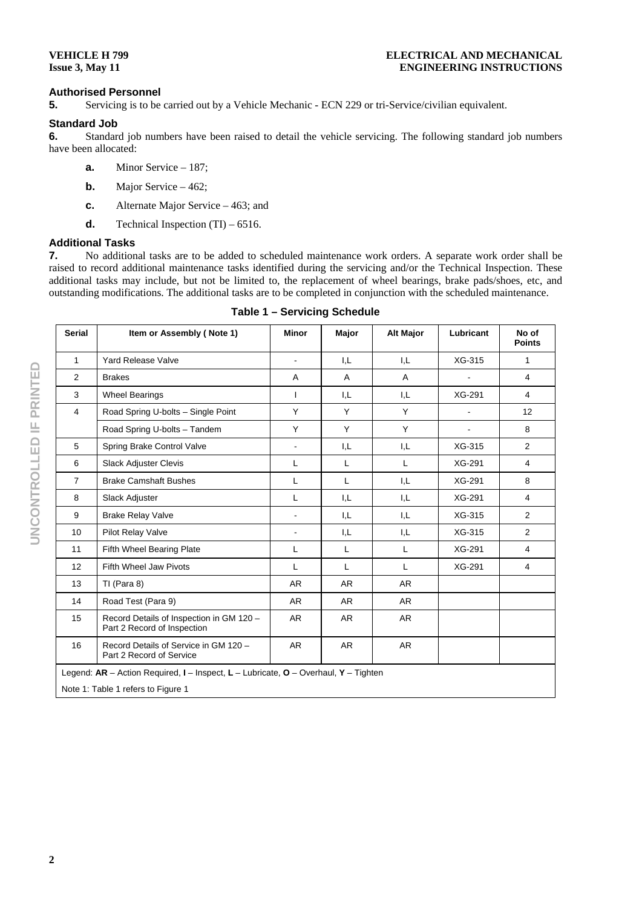#### **VEHICLE H 799 Issue 3, May 11**

### **Authorised Personnel**

**5.** Servicing is to be carried out by a Vehicle Mechanic - ECN 229 or tri-Service/civilian equivalent.

## **Standard Job**

**6.** Standard job numbers have been raised to detail the vehicle servicing. The following standard job numbers have been allocated:

- **a.** Minor Service 187;
- **b.** Major Service 462;
- **c.** Alternate Major Service 463; and
- **d.** Technical Inspection (TI) 6516.

# **Additional Tasks**

**7.** No additional tasks are to be added to scheduled maintenance work orders. A separate work order shall be raised to record additional maintenance tasks identified during the servicing and/or the Technical Inspection. These additional tasks may include, but not be limited to, the replacement of wheel bearings, brake pads/shoes, etc, and outstanding modifications. The additional tasks are to be completed in conjunction with the scheduled maintenance.

| <b>Serial</b>                                                                         | Item or Assembly (Note 1)                                               | <b>Minor</b>             | Major | <b>Alt Major</b> | Lubricant | No of<br><b>Points</b> |
|---------------------------------------------------------------------------------------|-------------------------------------------------------------------------|--------------------------|-------|------------------|-----------|------------------------|
| $\mathbf{1}$                                                                          | <b>Yard Release Valve</b>                                               | $\overline{\phantom{0}}$ | I,L   | I.L              | XG-315    | $\mathbf{1}$           |
| $\overline{2}$                                                                        | <b>Brakes</b>                                                           | A                        | A     | A                |           | $\overline{4}$         |
| 3                                                                                     | <b>Wheel Bearings</b>                                                   | L                        | I.L   | I,L              | XG-291    | $\overline{4}$         |
| 4                                                                                     | Road Spring U-bolts - Single Point                                      | Y                        | Y     | Y                |           | 12                     |
|                                                                                       | Road Spring U-bolts - Tandem                                            | Y                        | Y     | Y                |           | 8                      |
| 5                                                                                     | Spring Brake Control Valve                                              | ÷.                       | I.L   | I.L              | XG-315    | 2                      |
| 6                                                                                     | <b>Slack Adjuster Clevis</b>                                            | L                        | L     | L                | XG-291    | $\overline{4}$         |
| 7                                                                                     | <b>Brake Camshaft Bushes</b>                                            | L                        | L     | I.L              | XG-291    | 8                      |
| 8                                                                                     | Slack Adjuster                                                          | L                        | I.L   | I,L              | XG-291    | $\overline{4}$         |
| 9                                                                                     | <b>Brake Relay Valve</b>                                                |                          | I.L   | I,L              | XG-315    | 2                      |
| 10                                                                                    | Pilot Relay Valve                                                       | $\blacksquare$           | I.L   | I.L              | XG-315    | 2                      |
| 11                                                                                    | Fifth Wheel Bearing Plate                                               | L                        | L     | L                | XG-291    | $\overline{4}$         |
| 12                                                                                    | Fifth Wheel Jaw Pivots                                                  | L                        | L     | L                | XG-291    | $\overline{4}$         |
| 13                                                                                    | TI (Para 8)                                                             | <b>AR</b>                | AR    | AR               |           |                        |
| 14                                                                                    | Road Test (Para 9)                                                      | <b>AR</b>                | AR    | AR               |           |                        |
| 15                                                                                    | Record Details of Inspection in GM 120 -<br>Part 2 Record of Inspection | <b>AR</b>                | AR.   | AR               |           |                        |
| 16                                                                                    | Record Details of Service in GM 120 -<br>Part 2 Record of Service       | <b>AR</b>                | AR    | <b>AR</b>        |           |                        |
| Legend: $AR$ – Action Required, I – Inspect, L – Lubricate, O – Overhaul, Y – Tighten |                                                                         |                          |       |                  |           |                        |
| Note 1: Table 1 refers to Figure 1                                                    |                                                                         |                          |       |                  |           |                        |

#### **Table 1 – Servicing Schedule**